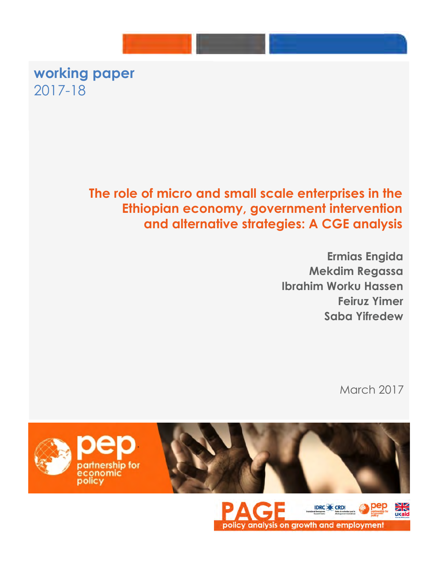i<mark>ng pap</mark>e ! **working paper**  2017-18

# **The role of micro and small scale enterprises in the Ethiopian economy, government intervention and alternative strategies: A CGE analysis**

**Ermias Engida Mekdim Regassa Ibrahim Worku Hassen Feiruz Yimer Saba Yifredew**

March 2017



policy analysis on growth and employment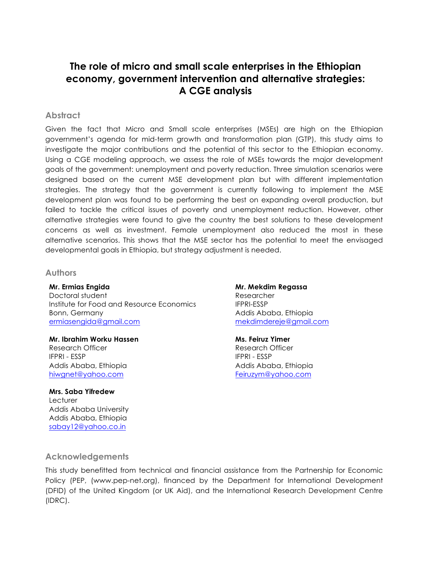# **The role of micro and small scale enterprises in the Ethiopian economy, government intervention and alternative strategies: A CGE analysis**

## **Abstract**

Given the fact that Micro and Small scale enterprises (MSEs) are high on the Ethiopian government's agenda for mid-term growth and transformation plan (GTP), this study aims to investigate the major contributions and the potential of this sector to the Ethiopian economy. Using a CGE modeling approach, we assess the role of MSEs towards the major development goals of the government: unemployment and poverty reduction. Three simulation scenarios were designed based on the current MSE development plan but with different implementation strategies. The strategy that the government is currently following to implement the MSE development plan was found to be performing the best on expanding overall production, but failed to tackle the critical issues of poverty and unemployment reduction. However, other alternative strategies were found to give the country the best solutions to these development concerns as well as investment. Female unemployment also reduced the most in these alternative scenarios. This shows that the MSE sector has the potential to meet the envisaged developmental goals in Ethiopia, but strategy adjustment is needed.

#### **Authors**

**Mr. Ermias Engida**

Doctoral student Institute for Food and Resource Economics Bonn, Germany ermiasengida@gmail.com

**Mr. Ibrahim Worku Hassen** Research Officer IFPRI - ESSP Addis Ababa, Ethiopia

**Mrs. Saba Yifredew** Lecturer Addis Ababa University Addis Ababa, Ethiopia sabay12@yahoo.co.in

hiwgnet@yahoo.com

**Mr. Mekdim Regassa** Researcher IFPRI-ESSP Addis Ababa, Ethiopia mekdimdereje@gmail.com

**Ms. Feiruz Yimer** Research Officer IFPRI - ESSP Addis Ababa, Ethiopia Feiruzym@yahoo.com

### **Acknowledgements**

This study benefitted from technical and financial assistance from the Partnership for Economic Policy (PEP, (www.pep-net.org), financed by the Department for International Development (DFID) of the United Kingdom (or UK Aid), and the International Research Development Centre (IDRC).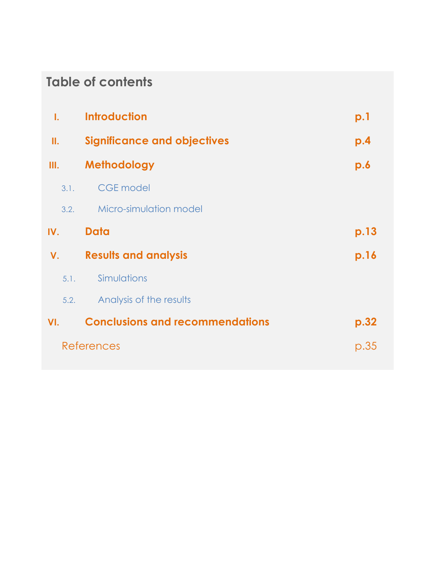# **Table of contents**

| I.  |      | <b>Introduction</b>                    | p.1  |
|-----|------|----------------------------------------|------|
| Π.  |      | <b>Significance and objectives</b>     | p.4  |
| Ш.  |      | <b>Methodology</b>                     | p.6  |
|     | 3.1. | <b>CGE</b> model                       |      |
|     |      | 3.2. Micro-simulation model            |      |
| IV. |      | <b>Data</b>                            | p.13 |
| V.  |      | <b>Results and analysis</b>            | p.16 |
|     | 5.1. | Simulations                            |      |
|     |      | 5.2. Analysis of the results           |      |
| VI. |      | <b>Conclusions and recommendations</b> | p.32 |
|     |      | <b>References</b>                      | p.35 |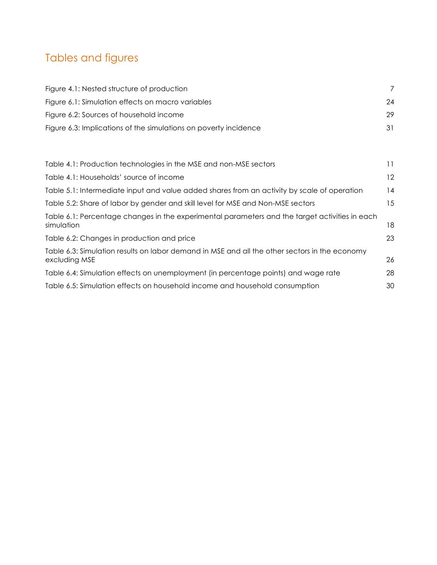# Tables and figures

| Figure 4.1: Nested structure of production                       |    |
|------------------------------------------------------------------|----|
| Figure 6.1: Simulation effects on macro variables                | 24 |
| Figure 6.2: Sources of household income                          | 29 |
| Figure 6.3: Implications of the simulations on poverty incidence |    |

| Table 4.1: Production technologies in the MSE and non-MSE sectors                                              | 11 |
|----------------------------------------------------------------------------------------------------------------|----|
| Table 4.1: Households' source of income                                                                        | 12 |
| Table 5.1: Intermediate input and value added shares from an activity by scale of operation                    | 14 |
| Table 5.2: Share of labor by gender and skill level for MSE and Non-MSE sectors                                | 15 |
| Table 6.1: Percentage changes in the experimental parameters and the target activities in each<br>simulation   | 18 |
| Table 6.2: Changes in production and price                                                                     | 23 |
| Table 6.3: Simulation results on labor demand in MSE and all the other sectors in the economy<br>excluding MSE | 26 |
| Table 6.4: Simulation effects on unemployment (in percentage points) and wage rate                             | 28 |
| Table 6.5: Simulation effects on household income and household consumption                                    | 30 |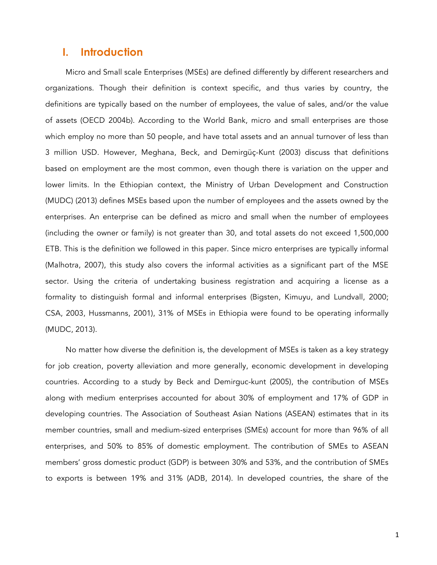## <span id="page-4-0"></span>**I. Introduction**

Micro and Small scale Enterprises (MSEs) are defined differently by different researchers and organizations. Though their definition is context specific, and thus varies by country, the definitions are typically based on the number of employees, the value of sales, and/or the value of assets (OECD 2004b). According to the World Bank, micro and small enterprises are those which employ no more than 50 people, and have total assets and an annual turnover of less than 3 million USD. However, Meghana, Beck, and Demirgüç-Kunt (2003) discuss that definitions based on employment are the most common, even though there is variation on the upper and lower limits. In the Ethiopian context, the Ministry of Urban Development and Construction (MUDC) (2013) defines MSEs based upon the number of employees and the assets owned by the enterprises. An enterprise can be defined as micro and small when the number of employees (including the owner or family) is not greater than 30, and total assets do not exceed 1,500,000 ETB. This is the definition we followed in this paper. Since micro enterprises are typically informal (Malhotra, 2007), this study also covers the informal activities as a significant part of the MSE sector. Using the criteria of undertaking business registration and acquiring a license as a formality to distinguish formal and informal enterprises (Bigsten, Kimuyu, and Lundvall, 2000; CSA, 2003, Hussmanns, 2001), 31% of MSEs in Ethiopia were found to be operating informally (MUDC, 2013).

No matter how diverse the definition is, the development of MSEs is taken as a key strategy for job creation, poverty alleviation and more generally, economic development in developing countries. According to a study by Beck and Demirguc-kunt (2005), the contribution of MSEs along with medium enterprises accounted for about 30% of employment and 17% of GDP in developing countries. The Association of Southeast Asian Nations (ASEAN) estimates that in its member countries, small and medium-sized enterprises (SMEs) account for more than 96% of all enterprises, and 50% to 85% of domestic employment. The contribution of SMEs to ASEAN members' gross domestic product (GDP) is between 30% and 53%, and the contribution of SMEs to exports is between 19% and 31% (ADB, 2014). In developed countries, the share of the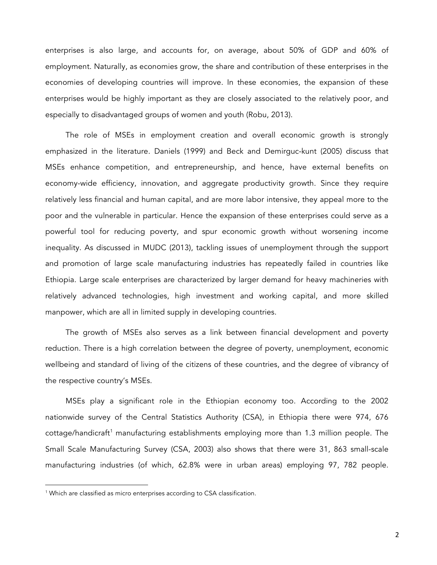enterprises is also large, and accounts for, on average, about 50% of GDP and 60% of employment. Naturally, as economies grow, the share and contribution of these enterprises in the economies of developing countries will improve. In these economies, the expansion of these enterprises would be highly important as they are closely associated to the relatively poor, and especially to disadvantaged groups of women and youth (Robu, 2013).

The role of MSEs in employment creation and overall economic growth is strongly emphasized in the literature. Daniels (1999) and Beck and Demirguc-kunt (2005) discuss that MSEs enhance competition, and entrepreneurship, and hence, have external benefits on economy-wide efficiency, innovation, and aggregate productivity growth. Since they require relatively less financial and human capital, and are more labor intensive, they appeal more to the poor and the vulnerable in particular. Hence the expansion of these enterprises could serve as a powerful tool for reducing poverty, and spur economic growth without worsening income inequality. As discussed in MUDC (2013), tackling issues of unemployment through the support and promotion of large scale manufacturing industries has repeatedly failed in countries like Ethiopia. Large scale enterprises are characterized by larger demand for heavy machineries with relatively advanced technologies, high investment and working capital, and more skilled manpower, which are all in limited supply in developing countries.

The growth of MSEs also serves as a link between financial development and poverty reduction. There is a high correlation between the degree of poverty, unemployment, economic wellbeing and standard of living of the citizens of these countries, and the degree of vibrancy of the respective country's MSEs.

MSEs play a significant role in the Ethiopian economy too. According to the 2002 nationwide survey of the Central Statistics Authority (CSA), in Ethiopia there were 974, 676 cottage/handicraft<sup>1</sup> manufacturing establishments employing more than 1.3 million people. The Small Scale Manufacturing Survey (CSA, 2003) also shows that there were 31, 863 small-scale manufacturing industries (of which, 62.8% were in urban areas) employing 97, 782 people.

<u> 1989 - Johann Barn, mars ann an t-Amhain an t-Amhain an t-Amhain an t-Amhain an t-Amhain an t-Amhain an t-Amh</u>

<sup>&</sup>lt;sup>1</sup> Which are classified as micro enterprises according to CSA classification.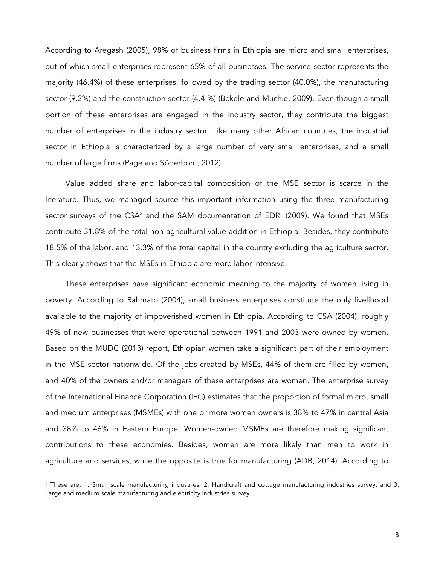According to Aregash (2005), 98% of business firms in Ethiopia are micro and small enterprises, out of which small enterprises represent 65% of all businesses. The service sector represents the majority (46.4%) of these enterprises, followed by the trading sector (40.0%), the manufacturing sector (9.2%) and the construction sector (4.4 %) (Bekele and Muchie, 2009). Even though a small portion of these enterprises are engaged in the industry sector, they contribute the biggest number of enterprises in the industry sector. Like many other African countries, the industrial sector in Ethiopia is characterized by a large number of very small enterprises, and a small number of large firms (Page and Söderbom, 2012).

Value added share and labor-capital composition of the MSE sector is scarce in the literature. Thus, we managed source this important information using the three manufacturing sector surveys of the  $CSA<sup>2</sup>$  and the SAM documentation of EDRI (2009). We found that MSEs contribute 31.8% of the total non-agricultural value addition in Ethiopia. Besides, they contribute 18.5% of the labor, and 13.3% of the total capital in the country excluding the agriculture sector. This clearly shows that the MSEs in Ethiopia are more labor intensive.

These enterprises have significant economic meaning to the majority of women living in poverty. According to Rahmato (2004), small business enterprises constitute the only livelihood available to the majority of impoverished women in Ethiopia. According to CSA (2004), roughly 49% of new businesses that were operational between 1991 and 2003 were owned by women. Based on the MUDC (2013) report, Ethiopian women take a significant part of their employment in the MSE sector nationwide. Of the jobs created by MSEs, 44% of them are filled by women, and 40% of the owners and/or managers of these enterprises are women. The enterprise survey of the International Finance Corporation (IFC) estimates that the proportion of formal micro, small and medium enterprises (MSMEs) with one or more women owners is 38% to 47% in central Asia and 38% to 46% in Eastern Europe. Women-owned MSMEs are therefore making significant contributions to these economies. Besides, women are more likely than men to work in agriculture and services, while the opposite is true for manufacturing (ADB, 2014). According to

<u> 1989 - Johann Barn, mars eta bainar eta industrial eta baina eta baina eta baina eta baina eta baina eta bain</u>

<sup>&</sup>lt;sup>2</sup> These are; 1. Small scale manufacturing industries, 2. Handicraft and cottage manufacturing industries survey, and 3. Large and medium scale manufacturing and electricity industries survey.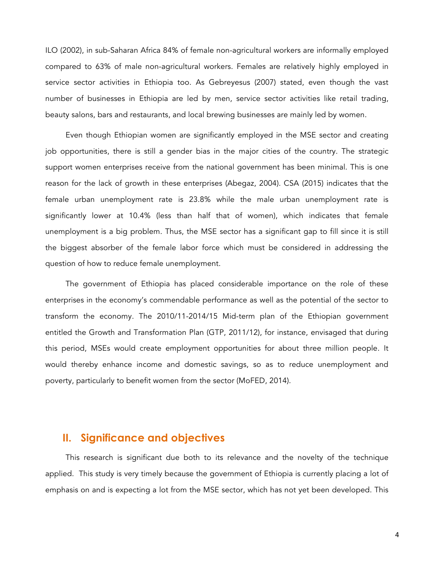<span id="page-7-0"></span>ILO (2002), in sub-Saharan Africa 84% of female non-agricultural workers are informally employed compared to 63% of male non-agricultural workers. Females are relatively highly employed in service sector activities in Ethiopia too. As Gebreyesus (2007) stated, even though the vast number of businesses in Ethiopia are led by men, service sector activities like retail trading, beauty salons, bars and restaurants, and local brewing businesses are mainly led by women.

Even though Ethiopian women are significantly employed in the MSE sector and creating job opportunities, there is still a gender bias in the major cities of the country. The strategic support women enterprises receive from the national government has been minimal. This is one reason for the lack of growth in these enterprises (Abegaz, 2004). CSA (2015) indicates that the female urban unemployment rate is 23.8% while the male urban unemployment rate is significantly lower at 10.4% (less than half that of women), which indicates that female unemployment is a big problem. Thus, the MSE sector has a significant gap to fill since it is still the biggest absorber of the female labor force which must be considered in addressing the question of how to reduce female unemployment.

The government of Ethiopia has placed considerable importance on the role of these enterprises in the economy's commendable performance as well as the potential of the sector to transform the economy. The 2010/11-2014/15 Mid-term plan of the Ethiopian government entitled the Growth and Transformation Plan (GTP, 2011/12), for instance, envisaged that during this period, MSEs would create employment opportunities for about three million people. It would thereby enhance income and domestic savings, so as to reduce unemployment and poverty, particularly to benefit women from the sector (MoFED, 2014).

## **II. Significance and objectives**

This research is significant due both to its relevance and the novelty of the technique applied. This study is very timely because the government of Ethiopia is currently placing a lot of emphasis on and is expecting a lot from the MSE sector, which has not yet been developed. This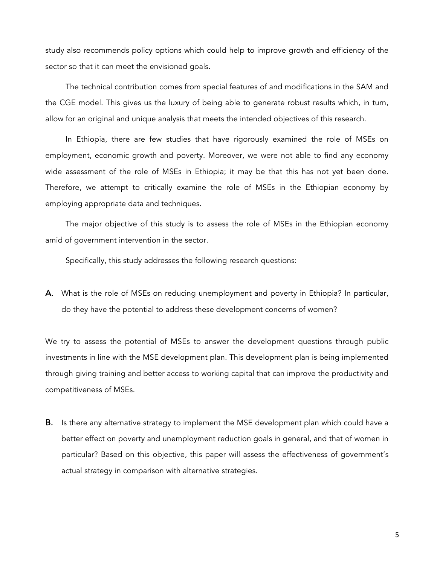study also recommends policy options which could help to improve growth and efficiency of the sector so that it can meet the envisioned goals.

The technical contribution comes from special features of and modifications in the SAM and the CGE model. This gives us the luxury of being able to generate robust results which, in turn, allow for an original and unique analysis that meets the intended objectives of this research.

In Ethiopia, there are few studies that have rigorously examined the role of MSEs on employment, economic growth and poverty. Moreover, we were not able to find any economy wide assessment of the role of MSEs in Ethiopia; it may be that this has not yet been done. Therefore, we attempt to critically examine the role of MSEs in the Ethiopian economy by employing appropriate data and techniques.

The major objective of this study is to assess the role of MSEs in the Ethiopian economy amid of government intervention in the sector.

Specifically, this study addresses the following research questions:

A. What is the role of MSEs on reducing unemployment and poverty in Ethiopia? In particular, do they have the potential to address these development concerns of women?

We try to assess the potential of MSEs to answer the development questions through public investments in line with the MSE development plan. This development plan is being implemented through giving training and better access to working capital that can improve the productivity and competitiveness of MSEs.

**B.** Is there any alternative strategy to implement the MSE development plan which could have a better effect on poverty and unemployment reduction goals in general, and that of women in particular? Based on this objective, this paper will assess the effectiveness of government's actual strategy in comparison with alternative strategies.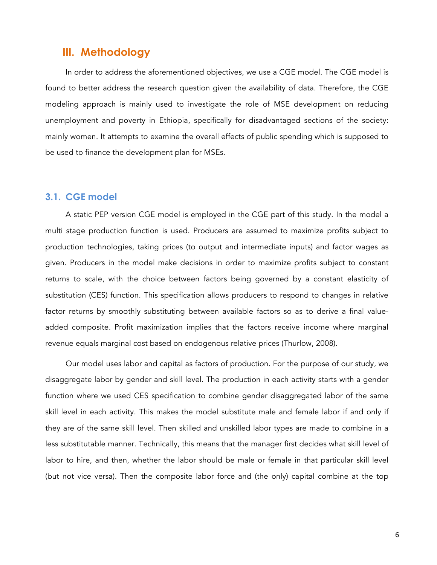## <span id="page-9-0"></span>**III. Methodology**

In order to address the aforementioned objectives, we use a CGE model. The CGE model is found to better address the research question given the availability of data. Therefore, the CGE modeling approach is mainly used to investigate the role of MSE development on reducing unemployment and poverty in Ethiopia, specifically for disadvantaged sections of the society: mainly women. It attempts to examine the overall effects of public spending which is supposed to be used to finance the development plan for MSEs.

## **3.1. CGE model**

A static PEP version CGE model is employed in the CGE part of this study. In the model a multi stage production function is used. Producers are assumed to maximize profits subject to production technologies, taking prices (to output and intermediate inputs) and factor wages as given. Producers in the model make decisions in order to maximize profits subject to constant returns to scale, with the choice between factors being governed by a constant elasticity of substitution (CES) function. This specification allows producers to respond to changes in relative factor returns by smoothly substituting between available factors so as to derive a final valueadded composite. Profit maximization implies that the factors receive income where marginal revenue equals marginal cost based on endogenous relative prices (Thurlow, 2008).

Our model uses labor and capital as factors of production. For the purpose of our study, we disaggregate labor by gender and skill level. The production in each activity starts with a gender function where we used CES specification to combine gender disaggregated labor of the same skill level in each activity. This makes the model substitute male and female labor if and only if they are of the same skill level. Then skilled and unskilled labor types are made to combine in a less substitutable manner. Technically, this means that the manager first decides what skill level of labor to hire, and then, whether the labor should be male or female in that particular skill level (but not vice versa). Then the composite labor force and (the only) capital combine at the top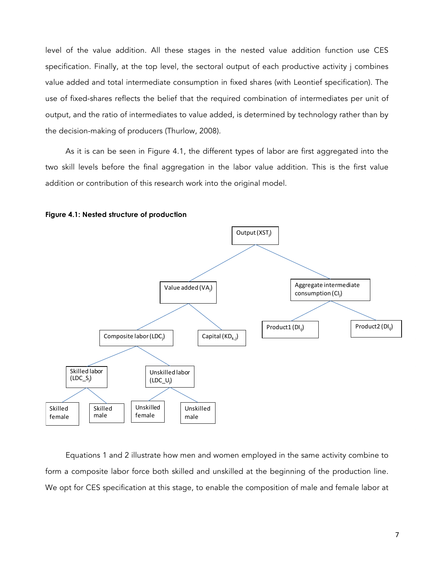<span id="page-10-0"></span>level of the value addition. All these stages in the nested value addition function use CES specification. Finally, at the top level, the sectoral output of each productive activity j combines value added and total intermediate consumption in fixed shares (with Leontief specification). The use of fixed-shares reflects the belief that the required combination of intermediates per unit of output, and the ratio of intermediates to value added, is determined by technology rather than by the decision-making of producers (Thurlow, 2008).

As it is can be seen in Figure 4.1, the different types of labor are first aggregated into the two skill levels before the final aggregation in the labor value addition. This is the first value addition or contribution of this research work into the original model.



**Figure 4.1: Nested structure of production**

Equations 1 and 2 illustrate how men and women employed in the same activity combine to form a composite labor force both skilled and unskilled at the beginning of the production line. We opt for CES specification at this stage, to enable the composition of male and female labor at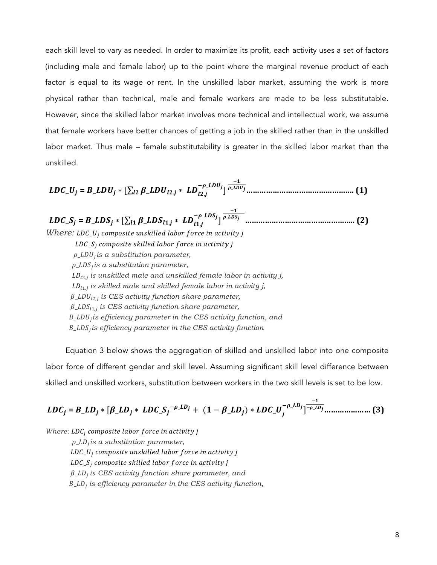each skill level to vary as needed. In order to maximize its profit, each activity uses a set of factors (including male and female labor) up to the point where the marginal revenue product of each factor is equal to its wage or rent. In the unskilled labor market, assuming the work is more physical rather than technical, male and female workers are made to be less substitutable. However, since the skilled labor market involves more technical and intellectual work, we assume that female workers have better chances of getting a job in the skilled rather than in the unskilled labor market. Thus male – female substitutability is greater in the skilled labor market than the unskilled.

$$
LDC_{-}U_{j} = B_{-}LDU_{j} * [\sum_{l2} \beta_{-}LDU_{l2,j} * LD_{l2,j}^{-\rho_{-}LDU_{j}}]^{\frac{-1}{\rho_{-}LDU_{j}}}
$$
................. (1)

 $LDC_{-}S_{j} = B_{-}LDS_{j} * [\sum_{l1} \beta_{-}LDS_{l1,j} * LD_{l1,j}^{-\rho_{-}LDS_{j}}]$  $-1$ \_ **………………………………………….. (2)** *Where: LDC\_U<sub>j</sub> composite unskilled labor force in activity j*  $LDC_S_i$  composite skilled labor force in activity j \_:*is a substitution parameter,*  \_:*is a substitution parameter,* LD<sub>12,i</sub> is unskilled male and unskilled female labor in activity j,  $LD_{l1,j}$  is skilled male and skilled female labor in activity j,  $\beta$ <sub>LDU<sub>12,j</sub> is CES activity function share parameter,</sub>  $\beta$ <sub>LDS<sub>l1,j</sub> is CES activity function share parameter,</sub> \_:*is efficiency parameter in the CES activity function, and* \_:*is efficiency parameter in the CES activity function*

Equation 3 below shows the aggregation of skilled and unskilled labor into one composite labor force of different gender and skill level. Assuming significant skill level difference between skilled and unskilled workers, substitution between workers in the two skill levels is set to be low.

$$
LDC_j = B\_LD_j * [\beta\_LD_j * LDC\_S_j^{-\rho\_LD_j} + (1 - \beta\_LD_j) * LDC\_U_j^{-\rho\_LD_j}]^{-\frac{1}{\rho\_LD_j}} \dots \dots \dots \dots \dots \dots \tag{3}
$$

*Where: LDC<sub>i</sub>* composite labor force in activity j

\_:*is a substitution parameter,*   $LDC_U$ ; composite unskilled labor force in activity j  $LDC_S_i$  composite skilled labor force in activity j  $\beta$ <sub>-LD<sub>i</sub> is CES activity function share parameter, and</sub> \_: *is efficiency parameter in the CES activity function,*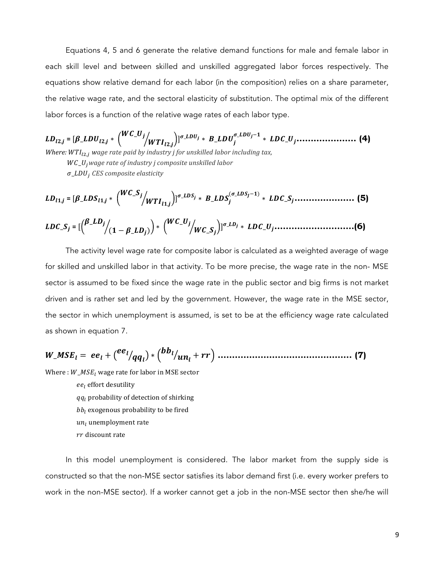Equations 4, 5 and 6 generate the relative demand functions for male and female labor in each skill level and between skilled and unskilled aggregated labor forces respectively. The equations show relative demand for each labor (in the composition) relies on a share parameter, the relative wage rate, and the sectoral elasticity of substitution. The optimal mix of the different labor forces is a function of the relative wage rates of each labor type.

 $LD_{l2,j} = [\beta \_LDU_{l2,j} * \binom{WC\_U_j}{WTI_{l2,j}}]^{\sigma\_LDU_j} * B\_LDU_j^{\sigma\_LDU_j-1} * LDC\_U_j.................(4)$ *Where:* WTI<sub>l2,i</sub> wage rate paid by industry j for unskilled labor including tax, \_:*wage rate of industry j composite unskilled labor* \_: *CES composite elasticity*

$$
LD_{l1,j} = [\beta \_LDS_{l1,j} * \binom{WC\_S_j}{WTI_{l1,j}}]^{\sigma \_LDS_j} * B\_LDS_j^{(\sigma \_LDS_j-1)} * LDC\_S_j \dots \dots \dots \dots \dots \dots \tag{5}
$$

\_ **<sup>=</sup>**[ \_ ( <sup>−</sup> \_) <sup>∗</sup> \_ \_ ] \_ ∗ \_**………………….……(6)**

The activity level wage rate for composite labor is calculated as a weighted average of wage for skilled and unskilled labor in that activity. To be more precise, the wage rate in the non- MSE sector is assumed to be fixed since the wage rate in the public sector and big firms is not market driven and is rather set and led by the government. However, the wage rate in the MSE sector, the sector in which unemployment is assumed, is set to be at the efficiency wage rate calculated as shown in equation 7.

\_ <sup>=</sup> <sup>+</sup> <sup>∗</sup> + **……………………………………….. (7)**

Where :  $W\_MSE_i$  wage rate for labor in MSE sector

 $ee_l$  effort desutility  $qq_1$  probability of detection of shirking  $bb_l$  exogenous probability to be fired  $un_l$  unemployment rate  $rr$  discount rate

In this model unemployment is considered. The labor market from the supply side is constructed so that the non-MSE sector satisfies its labor demand first (i.e. every worker prefers to work in the non-MSE sector). If a worker cannot get a job in the non-MSE sector then she/he will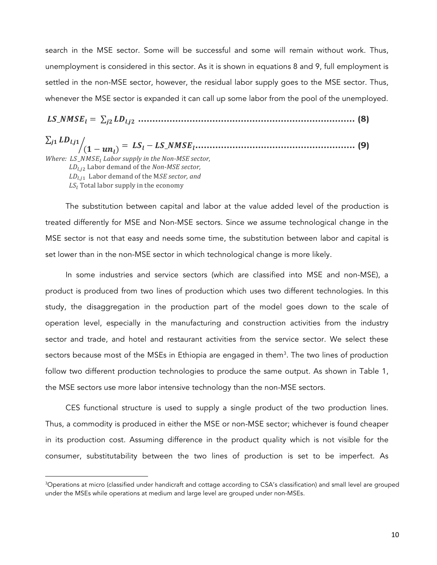search in the MSE sector. Some will be successful and some will remain without work. Thus, unemployment is considered in this sector. As it is shown in equations 8 and 9, full employment is settled in the non-MSE sector, however, the residual labor supply goes to the MSE sector. Thus, whenever the MSE sector is expanded it can call up some labor from the pool of the unemployed.

\_ = , **…………………………………………………………………. (8)**

 $_{j1}$   $LD_{l,j1}$  $\mathbf{I}(\mathbf{1} - \mathbf{u}\mathbf{n}_l) = \mathbf{L}\mathbf{S}_l - \mathbf{L}\mathbf{S}_l \mathbf{M}\mathbf{S}\mathbf{E}_l \dots \dots \dots \dots \dots \dots \dots \dots \dots \dots \dots \dots \dots \dots \tag{9}$ *Where:* LS\_NMSE<sub>1</sub> Labor supply in the Non-MSE sector, LD<sub>Li2</sub> Labor demand of the *Non-MSE sector*,  $LD_{l,i1}$  Labor demand of the M*SE sector, and*  $LS_l$  Total labor supply in the economy

The substitution between capital and labor at the value added level of the production is treated differently for MSE and Non-MSE sectors. Since we assume technological change in the MSE sector is not that easy and needs some time, the substitution between labor and capital is set lower than in the non-MSE sector in which technological change is more likely.

In some industries and service sectors (which are classified into MSE and non-MSE), a product is produced from two lines of production which uses two different technologies. In this study, the disaggregation in the production part of the model goes down to the scale of operation level, especially in the manufacturing and construction activities from the industry sector and trade, and hotel and restaurant activities from the service sector. We select these sectors because most of the MSEs in Ethiopia are engaged in them $^3$ . The two lines of production follow two different production technologies to produce the same output. As shown in Table 1, the MSE sectors use more labor intensive technology than the non-MSE sectors.

CES functional structure is used to supply a single product of the two production lines. Thus, a commodity is produced in either the MSE or non-MSE sector; whichever is found cheaper in its production cost. Assuming difference in the product quality which is not visible for the consumer, substitutability between the two lines of production is set to be imperfect. As

<u> 1989 - Johann Barn, mars eta bainar eta industrial eta baina eta baina eta baina eta baina eta baina eta bain</u>

<sup>3</sup> Operations at micro (classified under handicraft and cottage according to CSA's classification) and small level are grouped under the MSEs while operations at medium and large level are grouped under non-MSEs.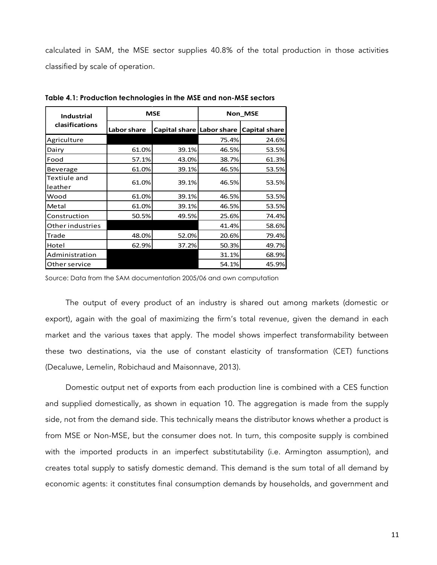<span id="page-14-0"></span>calculated in SAM, the MSE sector supplies 40.8% of the total production in those activities classified by scale of operation.

| <b>Industrial</b>       |             | <b>MSE</b> |       | <b>Non MSE</b>                          |
|-------------------------|-------------|------------|-------|-----------------------------------------|
| clasifications          | Labor share |            |       | Capital share Labor share Capital share |
| Agriculture             |             |            | 75.4% | 24.6%                                   |
| Dairy                   | 61.0%       | 39.1%      | 46.5% | 53.5%                                   |
| Food                    | 57.1%       | 43.0%      | 38.7% | 61.3%                                   |
| Beverage                | 61.0%       | 39.1%      | 46.5% | 53.5%                                   |
| Textiule and<br>leather | 61.0%       | 39.1%      | 46.5% | 53.5%                                   |
| Wood                    | 61.0%       | 39.1%      | 46.5% | 53.5%                                   |
| Metal                   | 61.0%       | 39.1%      | 46.5% | 53.5%                                   |
| Construction            | 50.5%       | 49.5%      | 25.6% | 74.4%                                   |
| Other industries        |             |            | 41.4% | 58.6%                                   |
| Trade                   | 48.0%       | 52.0%      | 20.6% | 79.4%                                   |
| Hotel                   | 62.9%       | 37.2%      | 50.3% | 49.7%                                   |
| Administration          |             |            | 31.1% | 68.9%                                   |
| Other service           |             |            | 54.1% | 45.9%                                   |

**Table 4.1: Production technologies in the MSE and non-MSE sectors**

Source: Data from the SAM documentation 2005/06 and own computation

The output of every product of an industry is shared out among markets (domestic or export), again with the goal of maximizing the firm's total revenue, given the demand in each market and the various taxes that apply. The model shows imperfect transformability between these two destinations, via the use of constant elasticity of transformation (CET) functions (Decaluwe, Lemelin, Robichaud and Maisonnave, 2013).

Domestic output net of exports from each production line is combined with a CES function and supplied domestically, as shown in equation 10. The aggregation is made from the supply side, not from the demand side. This technically means the distributor knows whether a product is from MSE or Non-MSE, but the consumer does not. In turn, this composite supply is combined with the imported products in an imperfect substitutability (i.e. Armington assumption), and creates total supply to satisfy domestic demand. This demand is the sum total of all demand by economic agents: it constitutes final consumption demands by households, and government and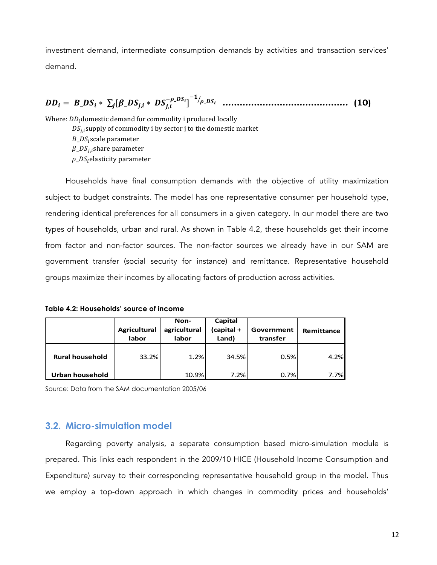<span id="page-15-0"></span>investment demand, intermediate consumption demands by activities and transaction services' demand.

= \_ ∗ [\_, ∗ , 0\_ ] 0 \_ **…………………………………….. (10)**

Where:  $DD_i$  domestic demand for commodity i produced locally  $DS_{i,i}$ supply of commodity i by sector j to the domestic market  $B$  DS<sub>i</sub>scale parameter  $\beta$ <sub>-DS<sub>i,i</sub>share parameter</sub>

 $\rho$ \_DS<sub>i</sub>elasticity parameter

Households have final consumption demands with the objective of utility maximization subject to budget constraints. The model has one representative consumer per household type, rendering identical preferences for all consumers in a given category. In our model there are two types of households, urban and rural. As shown in Table 4.2, these households get their income from factor and non-factor sources. The non-factor sources we already have in our SAM are government transfer (social security for instance) and remittance. Representative household groups maximize their incomes by allocating factors of production across activities.

**Table 4.2: Households' source of income**

|                        | <b>Agricultural</b><br>labor | Non-<br>agricultural<br>labor | Capital<br>(capital +<br>Land) | Government<br>transfer | Remittance |
|------------------------|------------------------------|-------------------------------|--------------------------------|------------------------|------------|
| <b>Rural household</b> | 33.2%                        | 1.2%                          | 34.5%                          | 0.5%                   | 4.2%       |
| Urban household        |                              | 10.9%                         | 7.2%                           | 0.7%                   | 7.7%       |

Source: Data from the SAM documentation 2005/06

## **3.2. Micro-simulation model**

Regarding poverty analysis, a separate consumption based micro-simulation module is prepared. This links each respondent in the 2009/10 HICE (Household Income Consumption and Expenditure) survey to their corresponding representative household group in the model. Thus we employ a top-down approach in which changes in commodity prices and households'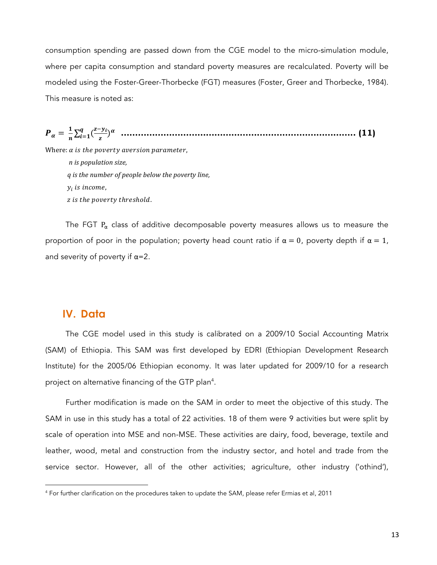<span id="page-16-0"></span>consumption spending are passed down from the CGE model to the micro-simulation module, where per capita consumption and standard poverty measures are recalculated. Poverty will be modeled using the Foster-Greer-Thorbecke (FGT) measures (Foster, Greer and Thorbecke, 1984). This measure is noted as:

 <sup>=</sup> ( 0 ) w **……………………………………………………………………….. (11)**

Where:  $\alpha$  is the poverty aversion parameter,

*n* is population size, *<i>q* is the number of people below the poverty line,  $y_i$  is income, z is the poverty threshold.

The FGT  $P_{\alpha}$  class of additive decomposable poverty measures allows us to measure the proportion of poor in the population; poverty head count ratio if  $\alpha = 0$ , poverty depth if  $\alpha = 1$ , and severity of poverty if  $\alpha = 2$ .

## **IV. Data**

<u> 1989 - Johann Barn, mars ann an t-Amhain an t-Amhain an t-Amhain an t-Amhain an t-Amhain an t-Amhain an t-Amh</u>

The CGE model used in this study is calibrated on a 2009/10 Social Accounting Matrix (SAM) of Ethiopia. This SAM was first developed by EDRI (Ethiopian Development Research Institute) for the 2005/06 Ethiopian economy. It was later updated for 2009/10 for a research project on alternative financing of the GTP plan $^4\!$ .

Further modification is made on the SAM in order to meet the objective of this study. The SAM in use in this study has a total of 22 activities. 18 of them were 9 activities but were split by scale of operation into MSE and non-MSE. These activities are dairy, food, beverage, textile and leather, wood, metal and construction from the industry sector, and hotel and trade from the service sector. However, all of the other activities; agriculture, other industry ('othind'),

<sup>4</sup> For further clarification on the procedures taken to update the SAM, please refer Ermias et al, 2011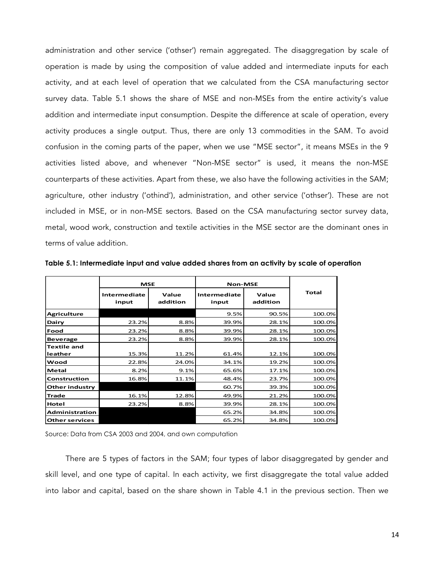<span id="page-17-0"></span>administration and other service ('othser') remain aggregated. The disaggregation by scale of operation is made by using the composition of value added and intermediate inputs for each activity, and at each level of operation that we calculated from the CSA manufacturing sector survey data. Table 5.1 shows the share of MSE and non-MSEs from the entire activity's value addition and intermediate input consumption. Despite the difference at scale of operation, every activity produces a single output. Thus, there are only 13 commodities in the SAM. To avoid confusion in the coming parts of the paper, when we use "MSE sector", it means MSEs in the 9 activities listed above, and whenever "Non-MSE sector" is used, it means the non-MSE counterparts of these activities. Apart from these, we also have the following activities in the SAM; agriculture, other industry ('othind'), administration, and other service ('othser'). These are not included in MSE, or in non-MSE sectors. Based on the CSA manufacturing sector survey data, metal, wood work, construction and textile activities in the MSE sector are the dominant ones in terms of value addition.

|                               | <b>MSE</b>            |                   | <b>Non-MSE</b>               |                   |              |
|-------------------------------|-----------------------|-------------------|------------------------------|-------------------|--------------|
|                               | Intermediate<br>input | Value<br>addition | <b>Intermediate</b><br>input | Value<br>addition | <b>Total</b> |
| <b>Agriculture</b>            |                       |                   | 9.5%                         | 90.5%             | 100.0%       |
| Dairy                         | 23.2%                 | 8.8%              | 39.9%                        | 28.1%             | 100.0%       |
| Food                          | 23.2%                 | 8.8%              | 39.9%                        | 28.1%             | 100.0%       |
| <b>Beverage</b>               | 23.2%                 | 8.8%              | 39.9%                        | 28.1%             | 100.0%       |
| <b>Textile and</b><br>leather | 15.3%                 | 11.2%             | 61.4%                        | 12.1%             | 100.0%       |
| Wood                          | 22.8%                 | 24.0%             | 34.1%                        | 19.2%             | 100.0%       |
| Metal                         | 8.2%                  | 9.1%              | 65.6%                        | 17.1%             | 100.0%       |
| <b>Construction</b>           | 16.8%                 | 11.1%             | 48.4%                        | 23.7%             | 100.0%       |
| Other industry                |                       |                   | 60.7%                        | 39.3%             | 100.0%       |
| <b>Trade</b>                  | 16.1%                 | 12.8%             | 49.9%                        | 21.2%             | 100.0%       |
| <b>Hotel</b>                  | 23.2%                 | 8.8%              | 39.9%                        | 28.1%             | 100.0%       |
| <b>Administration</b>         |                       |                   | 65.2%                        | 34.8%             | 100.0%       |
| <b>Other services</b>         |                       |                   | 65.2%                        | 34.8%             | 100.0%       |

**Table 5.1: Intermediate input and value added shares from an activity by scale of operation**

Source: Data from CSA 2003 and 2004, and own computation

There are 5 types of factors in the SAM; four types of labor disaggregated by gender and skill level, and one type of capital. In each activity, we first disaggregate the total value added into labor and capital, based on the share shown in Table 4.1 in the previous section. Then we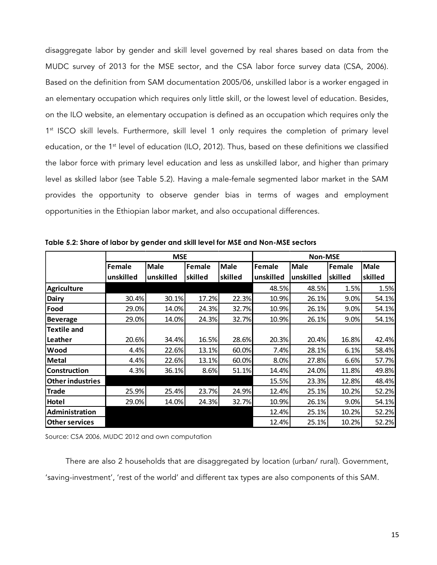<span id="page-18-0"></span>disaggregate labor by gender and skill level governed by real shares based on data from the MUDC survey of 2013 for the MSE sector, and the CSA labor force survey data (CSA, 2006). Based on the definition from SAM documentation 2005/06, unskilled labor is a worker engaged in an elementary occupation which requires only little skill, or the lowest level of education. Besides, on the ILO website, an elementary occupation is defined as an occupation which requires only the 1<sup>st</sup> ISCO skill levels. Furthermore, skill level 1 only requires the completion of primary level education, or the 1<sup>st</sup> level of education (ILO, 2012). Thus, based on these definitions we classified the labor force with primary level education and less as unskilled labor, and higher than primary level as skilled labor (see Table 5.2). Having a male-female segmented labor market in the SAM provides the opportunity to observe gender bias in terms of wages and employment opportunities in the Ethiopian labor market, and also occupational differences.

|                         |           | <b>MSE</b>  |         |             | <b>Non-MSE</b> |             |         |             |
|-------------------------|-----------|-------------|---------|-------------|----------------|-------------|---------|-------------|
|                         | Female    | <b>Male</b> | Female  | <b>Male</b> | Female         | <b>Male</b> | Female  | <b>Male</b> |
|                         | unskilled | unskilled   | skilled | skilled     | unskilled      | unskilled   | skilled | skilled     |
| <b>Agriculture</b>      |           |             |         |             | 48.5%          | 48.5%       | 1.5%    | 1.5%        |
| <b>Dairy</b>            | 30.4%     | 30.1%       | 17.2%   | 22.3%       | 10.9%          | 26.1%       | 9.0%    | 54.1%       |
| Food                    | 29.0%     | 14.0%       | 24.3%   | 32.7%       | 10.9%          | 26.1%       | 9.0%    | 54.1%       |
| <b>Beverage</b>         | 29.0%     | 14.0%       | 24.3%   | 32.7%       | 10.9%          | 26.1%       | 9.0%    | 54.1%       |
| <b>Textile and</b>      |           |             |         |             |                |             |         |             |
| Leather                 | 20.6%     | 34.4%       | 16.5%   | 28.6%       | 20.3%          | 20.4%       | 16.8%   | 42.4%       |
| Wood                    | 4.4%      | 22.6%       | 13.1%   | 60.0%       | 7.4%           | 28.1%       | 6.1%    | 58.4%       |
| <b>Metal</b>            | 4.4%      | 22.6%       | 13.1%   | 60.0%       | 8.0%           | 27.8%       | 6.6%    | 57.7%       |
| <b>Construction</b>     | 4.3%      | 36.1%       | 8.6%    | 51.1%       | 14.4%          | 24.0%       | 11.8%   | 49.8%       |
| <b>Other industries</b> |           |             |         |             | 15.5%          | 23.3%       | 12.8%   | 48.4%       |
| Trade                   | 25.9%     | 25.4%       | 23.7%   | 24.9%       | 12.4%          | 25.1%       | 10.2%   | 52.2%       |
| Hotel                   | 29.0%     | 14.0%       | 24.3%   | 32.7%       | 10.9%          | 26.1%       | $9.0\%$ | 54.1%       |
| <b>Administration</b>   |           |             |         |             | 12.4%          | 25.1%       | 10.2%   | 52.2%       |
| <b>Other services</b>   |           |             |         |             | 12.4%          | 25.1%       | 10.2%   | 52.2%       |

**Table 5.2: Share of labor by gender and skill level for MSE and Non-MSE sectors**

Source: CSA 2006, MUDC 2012 and own computation

There are also 2 households that are disaggregated by location (urban/ rural). Government, 'saving-investment', 'rest of the world' and different tax types are also components of this SAM.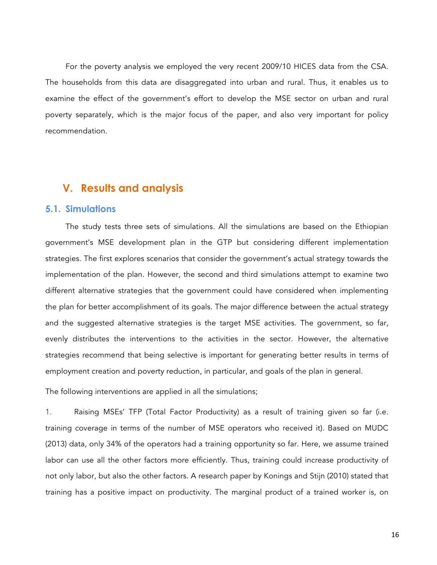<span id="page-19-0"></span>For the poverty analysis we employed the very recent 2009/10 HICES data from the CSA. The households from this data are disaggregated into urban and rural. Thus, it enables us to examine the effect of the government's effort to develop the MSE sector on urban and rural poverty separately, which is the major focus of the paper, and also very important for policy recommendation.

## **V. Results and analysis**

## **5.1. Simulations**

The study tests three sets of simulations. All the simulations are based on the Ethiopian government's MSE development plan in the GTP but considering different implementation strategies. The first explores scenarios that consider the government's actual strategy towards the implementation of the plan. However, the second and third simulations attempt to examine two different alternative strategies that the government could have considered when implementing the plan for better accomplishment of its goals. The major difference between the actual strategy and the suggested alternative strategies is the target MSE activities. The government, so far, evenly distributes the interventions to the activities in the sector. However, the alternative strategies recommend that being selective is important for generating better results in terms of employment creation and poverty reduction, in particular, and goals of the plan in general.

The following interventions are applied in all the simulations;

1. Raising MSEs' TFP (Total Factor Productivity) as a result of training given so far (i.e. training coverage in terms of the number of MSE operators who received it). Based on MUDC (2013) data, only 34% of the operators had a training opportunity so far. Here, we assume trained labor can use all the other factors more efficiently. Thus, training could increase productivity of not only labor, but also the other factors. A research paper by Konings and Stijn (2010) stated that training has a positive impact on productivity. The marginal product of a trained worker is, on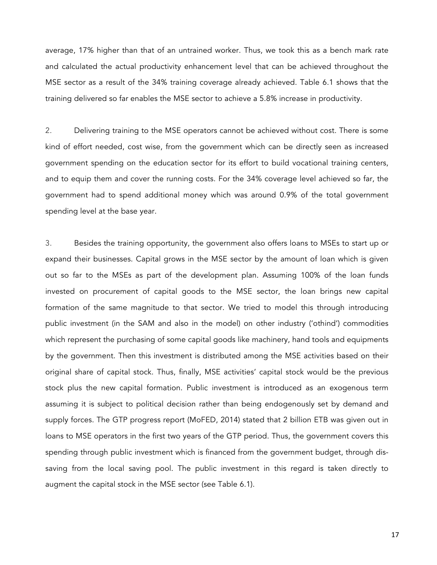average, 17% higher than that of an untrained worker. Thus, we took this as a bench mark rate and calculated the actual productivity enhancement level that can be achieved throughout the MSE sector as a result of the 34% training coverage already achieved. Table 6.1 shows that the training delivered so far enables the MSE sector to achieve a 5.8% increase in productivity.

2. Delivering training to the MSE operators cannot be achieved without cost. There is some kind of effort needed, cost wise, from the government which can be directly seen as increased government spending on the education sector for its effort to build vocational training centers, and to equip them and cover the running costs. For the 34% coverage level achieved so far, the government had to spend additional money which was around 0.9% of the total government spending level at the base year.

3. Besides the training opportunity, the government also offers loans to MSEs to start up or expand their businesses. Capital grows in the MSE sector by the amount of loan which is given out so far to the MSEs as part of the development plan. Assuming 100% of the loan funds invested on procurement of capital goods to the MSE sector, the loan brings new capital formation of the same magnitude to that sector. We tried to model this through introducing public investment (in the SAM and also in the model) on other industry ('othind') commodities which represent the purchasing of some capital goods like machinery, hand tools and equipments by the government. Then this investment is distributed among the MSE activities based on their original share of capital stock. Thus, finally, MSE activities' capital stock would be the previous stock plus the new capital formation. Public investment is introduced as an exogenous term assuming it is subject to political decision rather than being endogenously set by demand and supply forces. The GTP progress report (MoFED, 2014) stated that 2 billion ETB was given out in loans to MSE operators in the first two years of the GTP period. Thus, the government covers this spending through public investment which is financed from the government budget, through dissaving from the local saving pool. The public investment in this regard is taken directly to augment the capital stock in the MSE sector (see Table 6.1).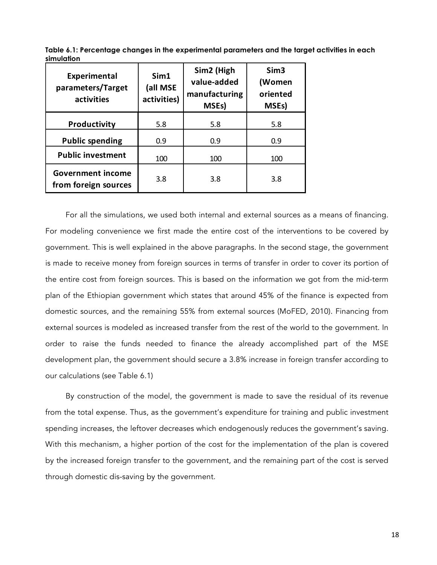<span id="page-21-0"></span>**Table 6.1: Percentage changes in the experimental parameters and the target activities in each simulation**

| <b>Experimental</b><br>parameters/Target<br>activities | Sim1<br>(all MSE<br>activities) | Sim2 (High<br>value-added<br>manufacturing<br>MSEs) | Sim <sub>3</sub><br>(Women<br>oriented<br>MSEs) |
|--------------------------------------------------------|---------------------------------|-----------------------------------------------------|-------------------------------------------------|
| Productivity                                           | 5.8                             | 5.8                                                 | 5.8                                             |
| <b>Public spending</b>                                 | 0.9                             | 0.9                                                 | 0.9                                             |
| <b>Public investment</b>                               | 100                             | 100                                                 | 100                                             |
| <b>Government income</b><br>from foreign sources       | 3.8                             | 3.8                                                 | 3.8                                             |

For all the simulations, we used both internal and external sources as a means of financing. For modeling convenience we first made the entire cost of the interventions to be covered by government. This is well explained in the above paragraphs. In the second stage, the government is made to receive money from foreign sources in terms of transfer in order to cover its portion of the entire cost from foreign sources. This is based on the information we got from the mid-term plan of the Ethiopian government which states that around 45% of the finance is expected from domestic sources, and the remaining 55% from external sources (MoFED, 2010). Financing from external sources is modeled as increased transfer from the rest of the world to the government. In order to raise the funds needed to finance the already accomplished part of the MSE development plan, the government should secure a 3.8% increase in foreign transfer according to our calculations (see Table 6.1)

By construction of the model, the government is made to save the residual of its revenue from the total expense. Thus, as the government's expenditure for training and public investment spending increases, the leftover decreases which endogenously reduces the government's saving. With this mechanism, a higher portion of the cost for the implementation of the plan is covered by the increased foreign transfer to the government, and the remaining part of the cost is served through domestic dis-saving by the government.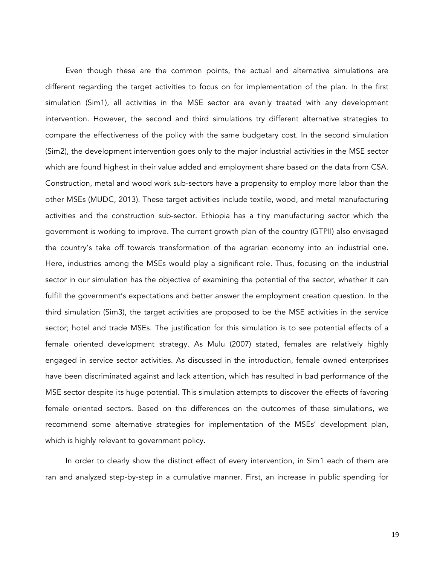Even though these are the common points, the actual and alternative simulations are different regarding the target activities to focus on for implementation of the plan. In the first simulation (Sim1), all activities in the MSE sector are evenly treated with any development intervention. However, the second and third simulations try different alternative strategies to compare the effectiveness of the policy with the same budgetary cost. In the second simulation (Sim2), the development intervention goes only to the major industrial activities in the MSE sector which are found highest in their value added and employment share based on the data from CSA. Construction, metal and wood work sub-sectors have a propensity to employ more labor than the other MSEs (MUDC, 2013). These target activities include textile, wood, and metal manufacturing activities and the construction sub-sector. Ethiopia has a tiny manufacturing sector which the government is working to improve. The current growth plan of the country (GTPII) also envisaged the country's take off towards transformation of the agrarian economy into an industrial one. Here, industries among the MSEs would play a significant role. Thus, focusing on the industrial sector in our simulation has the objective of examining the potential of the sector, whether it can fulfill the government's expectations and better answer the employment creation question. In the third simulation (Sim3), the target activities are proposed to be the MSE activities in the service sector; hotel and trade MSEs. The justification for this simulation is to see potential effects of a female oriented development strategy. As Mulu (2007) stated, females are relatively highly engaged in service sector activities. As discussed in the introduction, female owned enterprises have been discriminated against and lack attention, which has resulted in bad performance of the MSE sector despite its huge potential. This simulation attempts to discover the effects of favoring female oriented sectors. Based on the differences on the outcomes of these simulations, we recommend some alternative strategies for implementation of the MSEs' development plan, which is highly relevant to government policy.

In order to clearly show the distinct effect of every intervention, in Sim1 each of them are ran and analyzed step-by-step in a cumulative manner. First, an increase in public spending for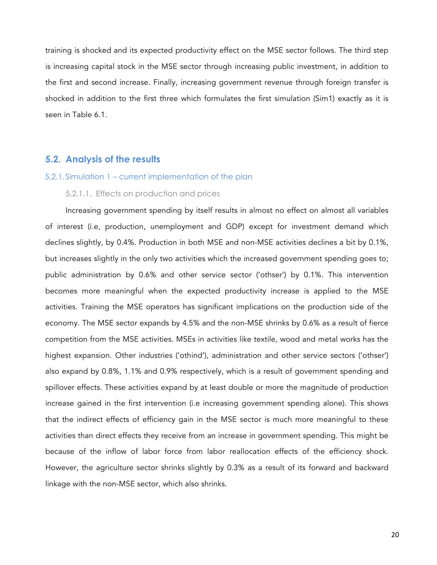<span id="page-23-0"></span>training is shocked and its expected productivity effect on the MSE sector follows. The third step is increasing capital stock in the MSE sector through increasing public investment, in addition to the first and second increase. Finally, increasing government revenue through foreign transfer is shocked in addition to the first three which formulates the first simulation (Sim1) exactly as it is seen in Table 6.1.

## **5.2. Analysis of the results**

#### 5.2.1. Simulation 1 – current implementation of the plan

### 5.2.1.1. Effects on production and prices

Increasing government spending by itself results in almost no effect on almost all variables of interest (i.e, production, unemployment and GDP) except for investment demand which declines slightly, by 0.4%. Production in both MSE and non-MSE activities declines a bit by 0.1%, but increases slightly in the only two activities which the increased government spending goes to; public administration by 0.6% and other service sector ('othser') by 0.1%. This intervention becomes more meaningful when the expected productivity increase is applied to the MSE activities. Training the MSE operators has significant implications on the production side of the economy. The MSE sector expands by 4.5% and the non-MSE shrinks by 0.6% as a result of fierce competition from the MSE activities. MSEs in activities like textile, wood and metal works has the highest expansion. Other industries ('othind'), administration and other service sectors ('othser') also expand by 0.8%, 1.1% and 0.9% respectively, which is a result of government spending and spillover effects. These activities expand by at least double or more the magnitude of production increase gained in the first intervention (i.e increasing government spending alone). This shows that the indirect effects of efficiency gain in the MSE sector is much more meaningful to these activities than direct effects they receive from an increase in government spending. This might be because of the inflow of labor force from labor reallocation effects of the efficiency shock. However, the agriculture sector shrinks slightly by 0.3% as a result of its forward and backward linkage with the non-MSE sector, which also shrinks.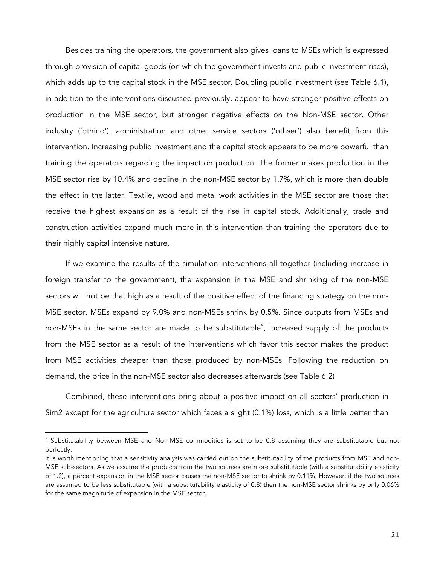Besides training the operators, the government also gives loans to MSEs which is expressed through provision of capital goods (on which the government invests and public investment rises), which adds up to the capital stock in the MSE sector. Doubling public investment (see Table 6.1), in addition to the interventions discussed previously, appear to have stronger positive effects on production in the MSE sector, but stronger negative effects on the Non-MSE sector. Other industry ('othind'), administration and other service sectors ('othser') also benefit from this intervention. Increasing public investment and the capital stock appears to be more powerful than training the operators regarding the impact on production. The former makes production in the MSE sector rise by 10.4% and decline in the non-MSE sector by 1.7%, which is more than double the effect in the latter. Textile, wood and metal work activities in the MSE sector are those that receive the highest expansion as a result of the rise in capital stock. Additionally, trade and construction activities expand much more in this intervention than training the operators due to their highly capital intensive nature.

If we examine the results of the simulation interventions all together (including increase in foreign transfer to the government), the expansion in the MSE and shrinking of the non-MSE sectors will not be that high as a result of the positive effect of the financing strategy on the non-MSE sector. MSEs expand by 9.0% and non-MSEs shrink by 0.5%. Since outputs from MSEs and non-MSEs in the same sector are made to be substitutable<sup>5</sup>, increased supply of the products from the MSE sector as a result of the interventions which favor this sector makes the product from MSE activities cheaper than those produced by non-MSEs. Following the reduction on demand, the price in the non-MSE sector also decreases afterwards (see Table 6.2)

Combined, these interventions bring about a positive impact on all sectors' production in Sim2 except for the agriculture sector which faces a slight (0.1%) loss, which is a little better than

<u> 1989 - Johann Barn, mars ann an t-Amhain an t-Amhain an t-Amhain an t-Amhain an t-Amhain an t-Amhain an t-Amh</u>

<sup>&</sup>lt;sup>5</sup> Substitutability between MSE and Non-MSE commodities is set to be 0.8 assuming they are substitutable but not perfectly.

It is worth mentioning that a sensitivity analysis was carried out on the substitutability of the products from MSE and non-MSE sub-sectors. As we assume the products from the two sources are more substitutable (with a substitutability elasticity of 1.2), a percent expansion in the MSE sector causes the non-MSE sector to shrink by 0.11%. However, if the two sources are assumed to be less substitutable (with a substitutability elasticity of 0.8) then the non-MSE sector shrinks by only 0.06% for the same magnitude of expansion in the MSE sector.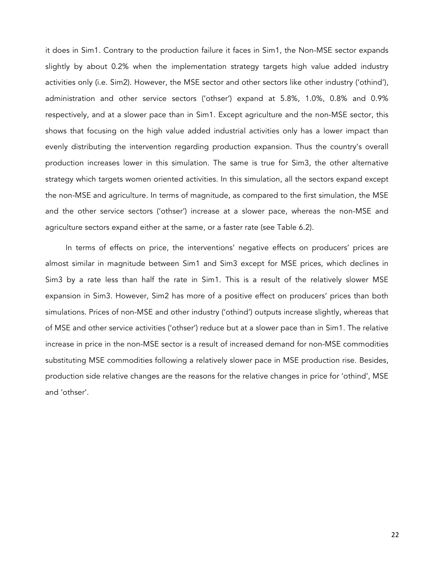it does in Sim1. Contrary to the production failure it faces in Sim1, the Non-MSE sector expands slightly by about 0.2% when the implementation strategy targets high value added industry activities only (i.e. Sim2). However, the MSE sector and other sectors like other industry ('othind'), administration and other service sectors ('othser') expand at 5.8%, 1.0%, 0.8% and 0.9% respectively, and at a slower pace than in Sim1. Except agriculture and the non-MSE sector, this shows that focusing on the high value added industrial activities only has a lower impact than evenly distributing the intervention regarding production expansion. Thus the country's overall production increases lower in this simulation. The same is true for Sim3, the other alternative strategy which targets women oriented activities. In this simulation, all the sectors expand except the non-MSE and agriculture. In terms of magnitude, as compared to the first simulation, the MSE and the other service sectors ('othser') increase at a slower pace, whereas the non-MSE and agriculture sectors expand either at the same, or a faster rate (see Table 6.2).

In terms of effects on price, the interventions' negative effects on producers' prices are almost similar in magnitude between Sim1 and Sim3 except for MSE prices, which declines in Sim3 by a rate less than half the rate in Sim1. This is a result of the relatively slower MSE expansion in Sim3. However, Sim2 has more of a positive effect on producers' prices than both simulations. Prices of non-MSE and other industry ('othind') outputs increase slightly, whereas that of MSE and other service activities ('othser') reduce but at a slower pace than in Sim1. The relative increase in price in the non-MSE sector is a result of increased demand for non-MSE commodities substituting MSE commodities following a relatively slower pace in MSE production rise. Besides, production side relative changes are the reasons for the relative changes in price for 'othind', MSE and 'othser'.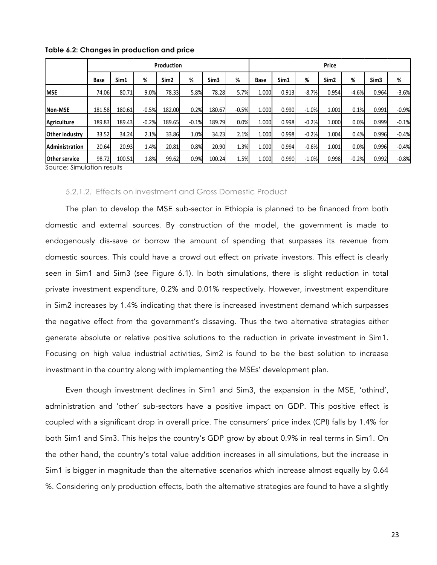|                      |             |        |         | Production       |         |                  | Price   |             |       |         |                  |         |                  |         |
|----------------------|-------------|--------|---------|------------------|---------|------------------|---------|-------------|-------|---------|------------------|---------|------------------|---------|
|                      | <b>Base</b> | Sim1   | %       | Sim <sub>2</sub> | %       | Sim <sub>3</sub> | %       | <b>Base</b> | Sim1  | %       | Sim <sub>2</sub> | %       | Sim <sub>3</sub> | %       |
| <b>IMSE</b>          | 74.06       | 80.71  | 9.0%    | 78.33            | 5.8%    | 78.28            | 5.7%    | 1.000       | 0.913 | $-8.7%$ | 0.954            | $-4.6%$ | 0.964            | $-3.6%$ |
| Non-MSE              | 181.58      | 180.61 | $-0.5%$ | 182.00           | 0.2%    | 180.67           | $-0.5%$ | 1.000       | 0.990 | $-1.0%$ | 1.001            | 0.1%    | 0.991            | $-0.9%$ |
| Agriculture          | 189.83      | 189.43 | $-0.2%$ | 189.65           | $-0.1%$ | 189.79           | 0.0%    | 1.000       | 0.998 | $-0.2%$ | 1.000            | 0.0%    | 0.999            | $-0.1%$ |
| Other industry       | 33.52       | 34.24  | 2.1%    | 33.86            | 1.0%    | 34.23            | 2.1%    | 1.000       | 0.998 | $-0.2%$ | 1.004            | 0.4%    | 0.996            | $-0.4%$ |
| Administration       | 20.64       | 20.93  | 1.4%    | 20.81            | 0.8%    | 20.90            | 1.3%    | 1.000       | 0.994 | $-0.6%$ | 1.001            | 0.0%    | 0.996            | $-0.4%$ |
| <b>Other service</b> | 98.72       | 100.51 | 1.8%    | 99.62            | 0.9%    | 100.24           | 1.5%    | 1.000       | 0.990 | $-1.0%$ | 0.998            | $-0.2%$ | 0.992            | $-0.8%$ |

<span id="page-26-0"></span>**Table 6.2: Changes in production and price**

Source: Simulation results

### 5.2.1.2. Effects on investment and Gross Domestic Product

The plan to develop the MSE sub-sector in Ethiopia is planned to be financed from both domestic and external sources. By construction of the model, the government is made to endogenously dis-save or borrow the amount of spending that surpasses its revenue from domestic sources. This could have a crowd out effect on private investors. This effect is clearly seen in Sim1 and Sim3 (see Figure 6.1). In both simulations, there is slight reduction in total private investment expenditure, 0.2% and 0.01% respectively. However, investment expenditure in Sim2 increases by 1.4% indicating that there is increased investment demand which surpasses the negative effect from the government's dissaving. Thus the two alternative strategies either generate absolute or relative positive solutions to the reduction in private investment in Sim1. Focusing on high value industrial activities, Sim2 is found to be the best solution to increase investment in the country along with implementing the MSEs' development plan.

Even though investment declines in Sim1 and Sim3, the expansion in the MSE, 'othind', administration and 'other' sub-sectors have a positive impact on GDP. This positive effect is coupled with a significant drop in overall price. The consumers' price index (CPI) falls by 1.4% for both Sim1 and Sim3. This helps the country's GDP grow by about 0.9% in real terms in Sim1. On the other hand, the country's total value addition increases in all simulations, but the increase in Sim1 is bigger in magnitude than the alternative scenarios which increase almost equally by 0.64 %. Considering only production effects, both the alternative strategies are found to have a slightly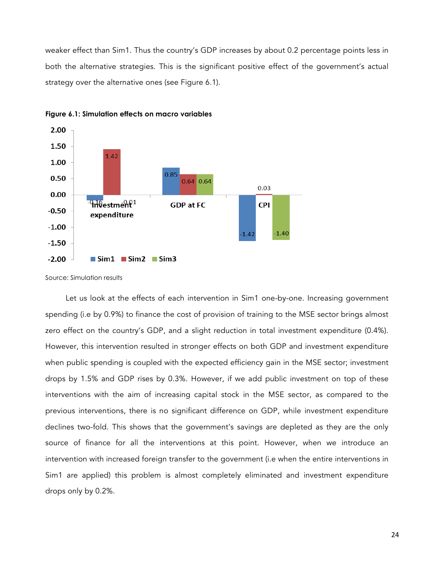<span id="page-27-0"></span>weaker effect than Sim1. Thus the country's GDP increases by about 0.2 percentage points less in both the alternative strategies. This is the significant positive effect of the government's actual strategy over the alternative ones (see Figure 6.1).





Source: Simulation results

Let us look at the effects of each intervention in Sim1 one-by-one. Increasing government spending (i.e by 0.9%) to finance the cost of provision of training to the MSE sector brings almost zero effect on the country's GDP, and a slight reduction in total investment expenditure (0.4%). However, this intervention resulted in stronger effects on both GDP and investment expenditure when public spending is coupled with the expected efficiency gain in the MSE sector; investment drops by 1.5% and GDP rises by 0.3%. However, if we add public investment on top of these interventions with the aim of increasing capital stock in the MSE sector, as compared to the previous interventions, there is no significant difference on GDP, while investment expenditure declines two-fold. This shows that the government's savings are depleted as they are the only source of finance for all the interventions at this point. However, when we introduce an intervention with increased foreign transfer to the government (i.e when the entire interventions in Sim1 are applied) this problem is almost completely eliminated and investment expenditure drops only by 0.2%.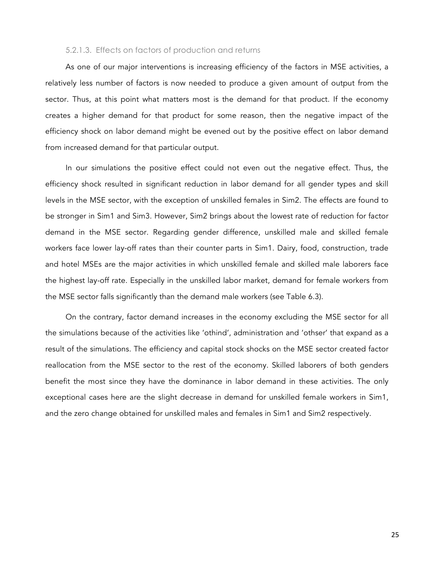#### 5.2.1.3. Effects on factors of production and returns

As one of our major interventions is increasing efficiency of the factors in MSE activities, a relatively less number of factors is now needed to produce a given amount of output from the sector. Thus, at this point what matters most is the demand for that product. If the economy creates a higher demand for that product for some reason, then the negative impact of the efficiency shock on labor demand might be evened out by the positive effect on labor demand from increased demand for that particular output.

In our simulations the positive effect could not even out the negative effect. Thus, the efficiency shock resulted in significant reduction in labor demand for all gender types and skill levels in the MSE sector, with the exception of unskilled females in Sim2. The effects are found to be stronger in Sim1 and Sim3. However, Sim2 brings about the lowest rate of reduction for factor demand in the MSE sector. Regarding gender difference, unskilled male and skilled female workers face lower lay-off rates than their counter parts in Sim1. Dairy, food, construction, trade and hotel MSEs are the major activities in which unskilled female and skilled male laborers face the highest lay-off rate. Especially in the unskilled labor market, demand for female workers from the MSE sector falls significantly than the demand male workers (see Table 6.3).

On the contrary, factor demand increases in the economy excluding the MSE sector for all the simulations because of the activities like 'othind', administration and 'othser' that expand as a result of the simulations. The efficiency and capital stock shocks on the MSE sector created factor reallocation from the MSE sector to the rest of the economy. Skilled laborers of both genders benefit the most since they have the dominance in labor demand in these activities. The only exceptional cases here are the slight decrease in demand for unskilled female workers in Sim1, and the zero change obtained for unskilled males and females in Sim1 and Sim2 respectively.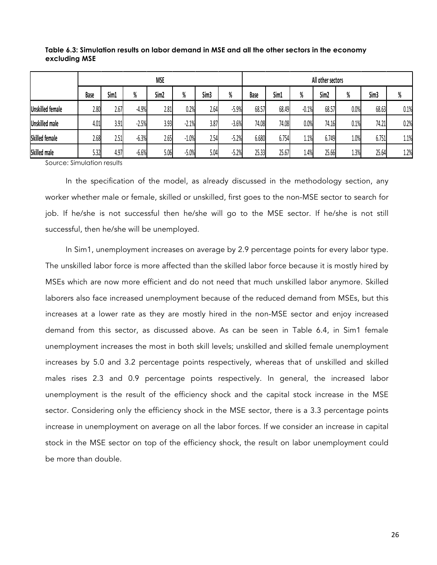|                         |             |      |         | <b>MSE</b> |         |                  | All other sectors |             |       |         |       |      |                  |      |
|-------------------------|-------------|------|---------|------------|---------|------------------|-------------------|-------------|-------|---------|-------|------|------------------|------|
|                         | <b>Base</b> | Sim1 | %       | Sim2       | %       | Sim <sub>3</sub> | %                 | <b>Base</b> | Sim1  | %       | Sim2  | %    | Sim <sub>3</sub> | %    |
| <b>Unskilled female</b> | 2.80        | 2.67 | $-4.9%$ | 2.81       | 0.2%    | 2.64             | $-5.9%$           | 68.57       | 68.49 | $-0.1%$ | 68.57 | 0.0% | 68.63            | 0.1% |
| <b>Unskilled male</b>   | 4.01        | 3.91 | $-2.5%$ | 3.93       | $-2.1%$ | 3.87             | $-3.6%$           | 74.08       | 74.08 | 0.0%    | 74.16 | 0.1% | 74.21            | 0.2% |
| <b>Skilled female</b>   | 2.68        | 2.51 | $-6.3%$ | 2.65       | $-1.0%$ | 2.54             | $-5.2%$           | 6.680       | 6.754 | 1.1%    | 6.749 | 1.0% | 6.751            | 1.1% |
| <b>Skilled male</b>     | 5.32        | 4.97 | $-6.6%$ | 5.06       | $-5.0%$ | 5.04             | $-5.2%$           | 25.33       | 25.67 | 1.4%    | 25.66 | 1.3% | 25.64            | 1.2% |

<span id="page-29-0"></span>**Table 6.3: Simulation results on labor demand in MSE and all the other sectors in the economy excluding MSE**

Source: Simulation results

In the specification of the model, as already discussed in the methodology section, any worker whether male or female, skilled or unskilled, first goes to the non-MSE sector to search for job. If he/she is not successful then he/she will go to the MSE sector. If he/she is not still successful, then he/she will be unemployed.

In Sim1, unemployment increases on average by 2.9 percentage points for every labor type. The unskilled labor force is more affected than the skilled labor force because it is mostly hired by MSEs which are now more efficient and do not need that much unskilled labor anymore. Skilled laborers also face increased unemployment because of the reduced demand from MSEs, but this increases at a lower rate as they are mostly hired in the non-MSE sector and enjoy increased demand from this sector, as discussed above. As can be seen in Table 6.4, in Sim1 female unemployment increases the most in both skill levels; unskilled and skilled female unemployment increases by 5.0 and 3.2 percentage points respectively, whereas that of unskilled and skilled males rises 2.3 and 0.9 percentage points respectively. In general, the increased labor unemployment is the result of the efficiency shock and the capital stock increase in the MSE sector. Considering only the efficiency shock in the MSE sector, there is a 3.3 percentage points increase in unemployment on average on all the labor forces. If we consider an increase in capital stock in the MSE sector on top of the efficiency shock, the result on labor unemployment could be more than double.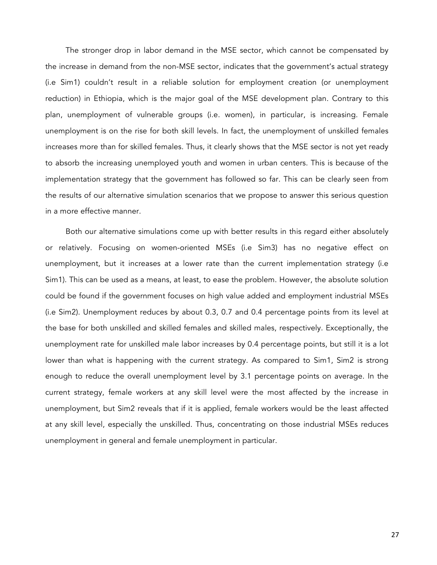The stronger drop in labor demand in the MSE sector, which cannot be compensated by the increase in demand from the non-MSE sector, indicates that the government's actual strategy (i.e Sim1) couldn't result in a reliable solution for employment creation (or unemployment reduction) in Ethiopia, which is the major goal of the MSE development plan. Contrary to this plan, unemployment of vulnerable groups (i.e. women), in particular, is increasing. Female unemployment is on the rise for both skill levels. In fact, the unemployment of unskilled females increases more than for skilled females. Thus, it clearly shows that the MSE sector is not yet ready to absorb the increasing unemployed youth and women in urban centers. This is because of the implementation strategy that the government has followed so far. This can be clearly seen from the results of our alternative simulation scenarios that we propose to answer this serious question in a more effective manner.

Both our alternative simulations come up with better results in this regard either absolutely or relatively. Focusing on women-oriented MSEs (i.e Sim3) has no negative effect on unemployment, but it increases at a lower rate than the current implementation strategy (i.e Sim1). This can be used as a means, at least, to ease the problem. However, the absolute solution could be found if the government focuses on high value added and employment industrial MSEs (i.e Sim2). Unemployment reduces by about 0.3, 0.7 and 0.4 percentage points from its level at the base for both unskilled and skilled females and skilled males, respectively. Exceptionally, the unemployment rate for unskilled male labor increases by 0.4 percentage points, but still it is a lot lower than what is happening with the current strategy. As compared to Sim1, Sim2 is strong enough to reduce the overall unemployment level by 3.1 percentage points on average. In the current strategy, female workers at any skill level were the most affected by the increase in unemployment, but Sim2 reveals that if it is applied, female workers would be the least affected at any skill level, especially the unskilled. Thus, concentrating on those industrial MSEs reduces unemployment in general and female unemployment in particular.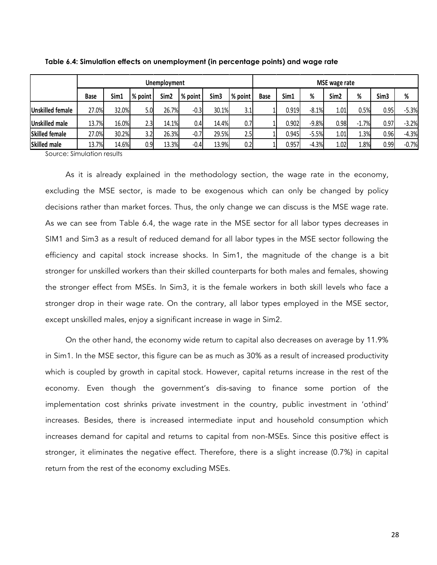|                         |             |       |         | <b>Unemployment</b> |         |       | <b>MSE</b> wage rate                              |             |       |         |                  |         |                  |         |
|-------------------------|-------------|-------|---------|---------------------|---------|-------|---------------------------------------------------|-------------|-------|---------|------------------|---------|------------------|---------|
|                         | <b>Base</b> | Sim1  | % point | Sim <sub>2</sub>    | % point | Sim3  | $\mathsf{\parallel}$ % point $\mathsf{\parallel}$ | <b>Base</b> | Sim1  | %       | Sim <sub>2</sub> | %       | Sim <sub>3</sub> | %       |
| <b>Unskilled female</b> | 27.0%       | 32.0% | 5.0     | 26.7%               | $-0.3$  | 30.1% | 3.1                                               |             | 0.919 | $-8.1%$ | 1.01             | 0.5%    | 0.95             | $-5.3%$ |
| <b>Unskilled male</b>   | 13.7%       | 16.0% | 2.3     | 14.1%               | 0.4     | 14.4% | 0.7                                               |             | 0.902 | $-9.8%$ | 0.98             | $-1.7%$ | 0.97             | $-3.2%$ |
| <b>Skilled female</b>   | 27.0%       | 30.2% | 3.2     | 26.3%               | $-0.7$  | 29.5% | 2.5                                               |             | 0.945 | $-5.5%$ | 1.01             | 1.3%    | 0.96             | $-4.3%$ |
| <b>Skilled male</b>     | 13.7%       | 14.6% | 0.9     | 13.3%               | $-0.4$  | 13.9% | 0.2                                               |             | 0.957 | $-4.3%$ | 1.02             | 1.8%    | 0.99             | $-0.7%$ |

<span id="page-31-0"></span>**Table 6.4: Simulation effects on unemployment (in percentage points) and wage rate**

Source: Simulation results

As it is already explained in the methodology section, the wage rate in the economy, excluding the MSE sector, is made to be exogenous which can only be changed by policy decisions rather than market forces. Thus, the only change we can discuss is the MSE wage rate. As we can see from Table 6.4, the wage rate in the MSE sector for all labor types decreases in SIM1 and Sim3 as a result of reduced demand for all labor types in the MSE sector following the efficiency and capital stock increase shocks. In Sim1, the magnitude of the change is a bit stronger for unskilled workers than their skilled counterparts for both males and females, showing the stronger effect from MSEs. In Sim3, it is the female workers in both skill levels who face a stronger drop in their wage rate. On the contrary, all labor types employed in the MSE sector, except unskilled males, enjoy a significant increase in wage in Sim2.

On the other hand, the economy wide return to capital also decreases on average by 11.9% in Sim1. In the MSE sector, this figure can be as much as 30% as a result of increased productivity which is coupled by growth in capital stock. However, capital returns increase in the rest of the economy. Even though the government's dis-saving to finance some portion of the implementation cost shrinks private investment in the country, public investment in 'othind' increases. Besides, there is increased intermediate input and household consumption which increases demand for capital and returns to capital from non-MSEs. Since this positive effect is stronger, it eliminates the negative effect. Therefore, there is a slight increase (0.7%) in capital return from the rest of the economy excluding MSEs.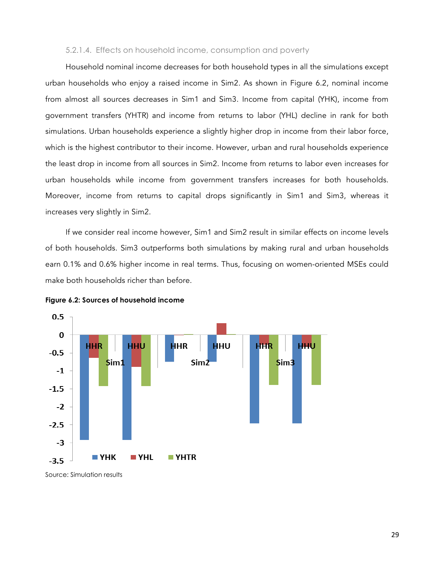### 5.2.1.4. Effects on household income, consumption and poverty

<span id="page-32-0"></span>Household nominal income decreases for both household types in all the simulations except urban households who enjoy a raised income in Sim2. As shown in Figure 6.2, nominal income from almost all sources decreases in Sim1 and Sim3. Income from capital (YHK), income from government transfers (YHTR) and income from returns to labor (YHL) decline in rank for both simulations. Urban households experience a slightly higher drop in income from their labor force, which is the highest contributor to their income. However, urban and rural households experience the least drop in income from all sources in Sim2. Income from returns to labor even increases for urban households while income from government transfers increases for both households. Moreover, income from returns to capital drops significantly in Sim1 and Sim3, whereas it increases very slightly in Sim2.

If we consider real income however, Sim1 and Sim2 result in similar effects on income levels of both households. Sim3 outperforms both simulations by making rural and urban households earn 0.1% and 0.6% higher income in real terms. Thus, focusing on women-oriented MSEs could make both households richer than before.





Source: Simulation results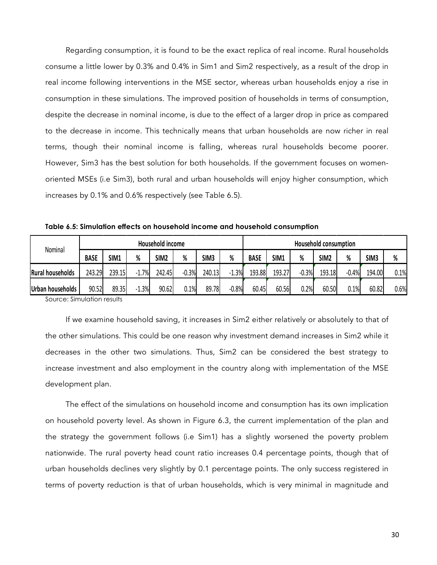<span id="page-33-0"></span>Regarding consumption, it is found to be the exact replica of real income. Rural households consume a little lower by 0.3% and 0.4% in Sim1 and Sim2 respectively, as a result of the drop in real income following interventions in the MSE sector, whereas urban households enjoy a rise in consumption in these simulations. The improved position of households in terms of consumption, despite the decrease in nominal income, is due to the effect of a larger drop in price as compared to the decrease in income. This technically means that urban households are now richer in real terms, though their nominal income is falling, whereas rural households become poorer. However, Sim3 has the best solution for both households. If the government focuses on womenoriented MSEs (i.e Sim3), both rural and urban households will enjoy higher consumption, which increases by 0.1% and 0.6% respectively (see Table 6.5).

|                         |             |        |            | Household income |         |        | <b>Household consumption</b> |             |        |         |        |         |        |      |
|-------------------------|-------------|--------|------------|------------------|---------|--------|------------------------------|-------------|--------|---------|--------|---------|--------|------|
| Nominal                 | <b>BASE</b> | SIM1   | %          | SIM <sub>2</sub> | %       | SIM3   | %                            | <b>BASE</b> | SIM1   | %       | SIM2   | %       | SIM3   | %    |
| <b>Rural households</b> | 243.29      | 239.15 | $-1.7%$    | 242.45           | $-0.3%$ | 240.13 | $-1.3%$                      | 193.88      | 193.27 | $-0.3%$ | 193.18 | $-0.4%$ | 194.00 | 0.1% |
| Urban households        | 90.52       | 89.35  | 1.3%<br>-1 | 90.62            | 0.1%    | 89.78  | $-0.8%$                      | 60.45       | 60.56  | 0.2%    | 60.50  | 0.1%    | 60.82  | 0.6% |

**Table 6.5: Simulation effects on household income and household consumption**

Source: Simulation results

If we examine household saving, it increases in Sim2 either relatively or absolutely to that of the other simulations. This could be one reason why investment demand increases in Sim2 while it decreases in the other two simulations. Thus, Sim2 can be considered the best strategy to increase investment and also employment in the country along with implementation of the MSE development plan.

The effect of the simulations on household income and consumption has its own implication on household poverty level. As shown in Figure 6.3, the current implementation of the plan and the strategy the government follows (i.e Sim1) has a slightly worsened the poverty problem nationwide. The rural poverty head count ratio increases 0.4 percentage points, though that of urban households declines very slightly by 0.1 percentage points. The only success registered in terms of poverty reduction is that of urban households, which is very minimal in magnitude and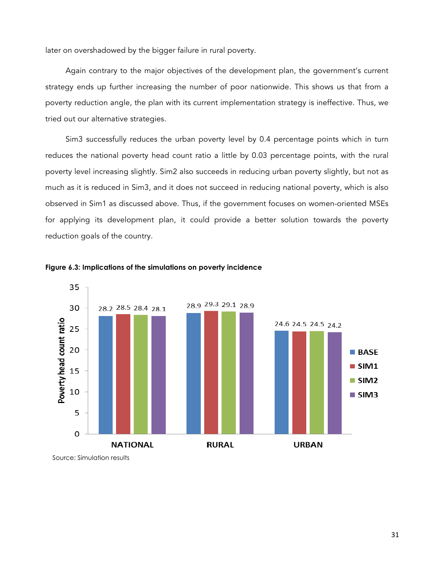<span id="page-34-0"></span>later on overshadowed by the bigger failure in rural poverty.

Again contrary to the major objectives of the development plan, the government's current strategy ends up further increasing the number of poor nationwide. This shows us that from a poverty reduction angle, the plan with its current implementation strategy is ineffective. Thus, we tried out our alternative strategies.

Sim3 successfully reduces the urban poverty level by 0.4 percentage points which in turn reduces the national poverty head count ratio a little by 0.03 percentage points, with the rural poverty level increasing slightly. Sim2 also succeeds in reducing urban poverty slightly, but not as much as it is reduced in Sim3, and it does not succeed in reducing national poverty, which is also observed in Sim1 as discussed above. Thus, if the government focuses on women-oriented MSEs for applying its development plan, it could provide a better solution towards the poverty reduction goals of the country.





 Source: Simulation results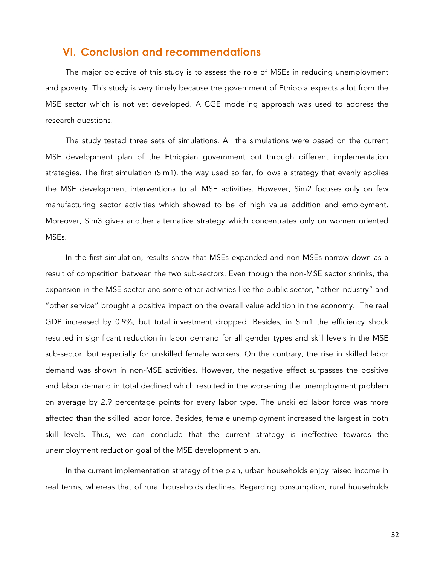## <span id="page-35-0"></span>**VI. Conclusion and recommendations**

The major objective of this study is to assess the role of MSEs in reducing unemployment and poverty. This study is very timely because the government of Ethiopia expects a lot from the MSE sector which is not yet developed. A CGE modeling approach was used to address the research questions.

The study tested three sets of simulations. All the simulations were based on the current MSE development plan of the Ethiopian government but through different implementation strategies. The first simulation (Sim1), the way used so far, follows a strategy that evenly applies the MSE development interventions to all MSE activities. However, Sim2 focuses only on few manufacturing sector activities which showed to be of high value addition and employment. Moreover, Sim3 gives another alternative strategy which concentrates only on women oriented MSEs.

In the first simulation, results show that MSEs expanded and non-MSEs narrow-down as a result of competition between the two sub-sectors. Even though the non-MSE sector shrinks, the expansion in the MSE sector and some other activities like the public sector, "other industry" and "other service" brought a positive impact on the overall value addition in the economy. The real GDP increased by 0.9%, but total investment dropped. Besides, in Sim1 the efficiency shock resulted in significant reduction in labor demand for all gender types and skill levels in the MSE sub-sector, but especially for unskilled female workers. On the contrary, the rise in skilled labor demand was shown in non-MSE activities. However, the negative effect surpasses the positive and labor demand in total declined which resulted in the worsening the unemployment problem on average by 2.9 percentage points for every labor type. The unskilled labor force was more affected than the skilled labor force. Besides, female unemployment increased the largest in both skill levels. Thus, we can conclude that the current strategy is ineffective towards the unemployment reduction goal of the MSE development plan.

In the current implementation strategy of the plan, urban households enjoy raised income in real terms, whereas that of rural households declines. Regarding consumption, rural households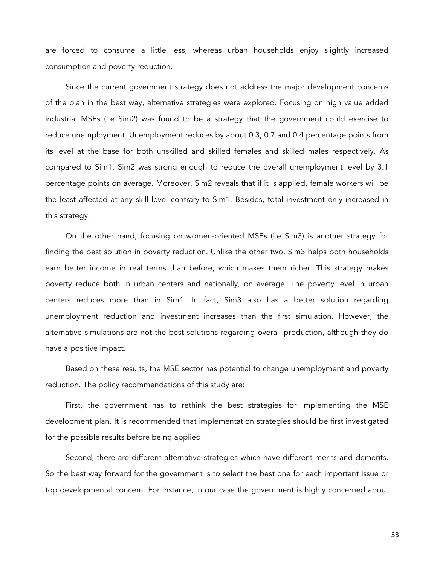are forced to consume a little less, whereas urban households enjoy slightly increased consumption and poverty reduction.

Since the current government strategy does not address the major development concerns of the plan in the best way, alternative strategies were explored. Focusing on high value added industrial MSEs (i.e Sim2) was found to be a strategy that the government could exercise to reduce unemployment. Unemployment reduces by about 0.3, 0.7 and 0.4 percentage points from its level at the base for both unskilled and skilled females and skilled males respectively. As compared to Sim1, Sim2 was strong enough to reduce the overall unemployment level by 3.1 percentage points on average. Moreover, Sim2 reveals that if it is applied, female workers will be the least affected at any skill level contrary to Sim1. Besides, total investment only increased in this strategy.

On the other hand, focusing on women-oriented MSEs (i.e Sim3) is another strategy for finding the best solution in poverty reduction. Unlike the other two, Sim3 helps both households earn better income in real terms than before, which makes them richer. This strategy makes poverty reduce both in urban centers and nationally, on average. The poverty level in urban centers reduces more than in Sim1. In fact, Sim3 also has a better solution regarding unemployment reduction and investment increases than the first simulation. However, the alternative simulations are not the best solutions regarding overall production, although they do have a positive impact.

Based on these results, the MSE sector has potential to change unemployment and poverty reduction. The policy recommendations of this study are:

First, the government has to rethink the best strategies for implementing the MSE development plan. It is recommended that implementation strategies should be first investigated for the possible results before being applied.

Second, there are different alternative strategies which have different merits and demerits. So the best way forward for the government is to select the best one for each important issue or top developmental concern. For instance, in our case the government is highly concerned about

33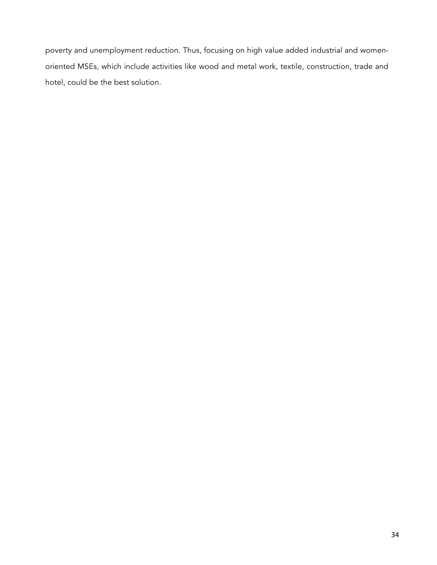poverty and unemployment reduction. Thus, focusing on high value added industrial and womenoriented MSEs, which include activities like wood and metal work, textile, construction, trade and hotel, could be the best solution.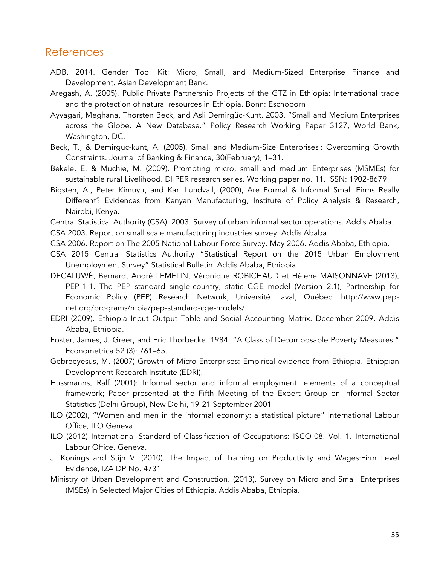# <span id="page-38-0"></span>References

- ADB. 2014. Gender Tool Kit: Micro, Small, and Medium-Sized Enterprise Finance and Development. Asian Development Bank.
- Aregash, A. (2005). Public Private Partnership Projects of the GTZ in Ethiopia: International trade and the protection of natural resources in Ethiopia. Bonn: Eschoborn
- Ayyagari, Meghana, Thorsten Beck, and Asli Demirgüç-Kunt. 2003. "Small and Medium Enterprises across the Globe. A New Database." Policy Research Working Paper 3127, World Bank, Washington, DC.
- Beck, T., & Demirguc-kunt, A. (2005). Small and Medium-Size Enterprises : Overcoming Growth Constraints. Journal of Banking & Finance, 30(February), 1–31.
- Bekele, E. & Muchie, M. (2009). Promoting micro, small and medium Enterprises (MSMEs) for sustainable rural Livelihood. DIIPER research series. Working paper no. 11. ISSN: 1902-8679
- Bigsten, A., Peter Kimuyu, and Karl Lundvall, (2000), Are Formal & Informal Small Firms Really Different? Evidences from Kenyan Manufacturing, Institute of Policy Analysis & Research, Nairobi, Kenya.
- Central Statistical Authority (CSA). 2003. Survey of urban informal sector operations. Addis Ababa. CSA 2003. Report on small scale manufacturing industries survey. Addis Ababa.
- CSA 2006. Report on The 2005 National Labour Force Survey. May 2006. Addis Ababa, Ethiopia.
- CSA 2015 Central Statistics Authority "Statistical Report on the 2015 Urban Employment Unemployment Survey" Statistical Bulletin. Addis Ababa, Ethiopia
- DECALUWÉ, Bernard, André LEMELIN, Véronique ROBICHAUD et Hélène MAISONNAVE (2013), PEP-1-1. The PEP standard single-country, static CGE model (Version 2.1), Partnership for Economic Policy (PEP) Research Network, Université Laval, Québec. http://www.pepnet.org/programs/mpia/pep-standard-cge-models/
- EDRI (2009). Ethiopia Input Output Table and Social Accounting Matrix. December 2009. Addis Ababa, Ethiopia.
- Foster, James, J. Greer, and Eric Thorbecke. 1984. "A Class of Decomposable Poverty Measures." Econometrica 52 (3): 761–65.
- Gebreeyesus, M. (2007) Growth of Micro-Enterprises: Empirical evidence from Ethiopia. Ethiopian Development Research Institute (EDRI).
- Hussmanns, Ralf (2001): Informal sector and informal employment: elements of a conceptual framework; Paper presented at the Fifth Meeting of the Expert Group on Informal Sector Statistics (Delhi Group), New Delhi, 19-21 September 2001
- ILO (2002), "Women and men in the informal economy: a statistical picture" International Labour Office, ILO Geneva.
- ILO (2012) International Standard of Classification of Occupations: ISCO-08. Vol. 1. International Labour Office. Geneva.
- J. Konings and Stijn V. (2010). The Impact of Training on Productivity and Wages:Firm Level Evidence, IZA DP No. 4731
- Ministry of Urban Development and Construction. (2013). Survey on Micro and Small Enterprises (MSEs) in Selected Major Cities of Ethiopia. Addis Ababa, Ethiopia.